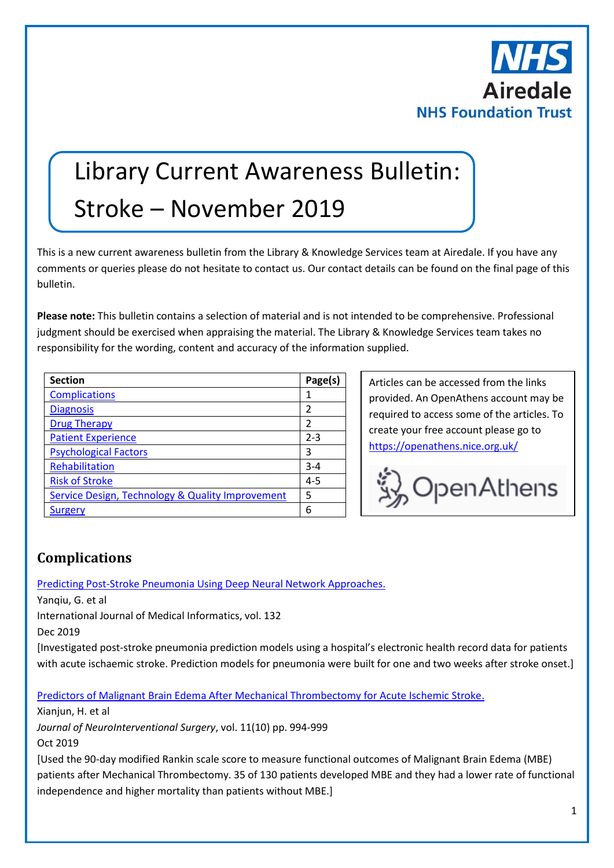

# Library Current Awareness Bulletin: Stroke – November 2019

This is a new current awareness bulletin from the Library & Knowledge Services team at Airedale. If you have any comments or queries please do not hesitate to contact us. Our contact details can be found on the final page of this bulletin.

**Please note:** This bulletin contains a selection of material and is not intended to be comprehensive. Professional judgment should be exercised when appraising the material. The Library & Knowledge Services team takes no responsibility for the wording, content and accuracy of the information supplied.

| <b>Section</b>                                   | Page(s)        |
|--------------------------------------------------|----------------|
| <b>Complications</b>                             |                |
| <b>Diagnosis</b>                                 | $\overline{2}$ |
| <b>Drug Therapy</b>                              | 2              |
| <b>Patient Experience</b>                        | $2 - 3$        |
| <b>Psychological Factors</b>                     | 3              |
| Rehabilitation                                   | $3 - 4$        |
| <b>Risk of Stroke</b>                            | $4 - 5$        |
| Service Design, Technology & Quality Improvement | 5              |
| Surgery                                          | 6              |

Articles can be accessed from the links provided. An OpenAthens account may be required to access some of the articles. To create your free account please go to <https://openathens.nice.org.uk/>



### <span id="page-0-0"></span>**Complications**

[Predicting Post-Stroke Pneumonia Using Deep Neural Network Approaches.](https://www.sciencedirect.com/science/article/pii/S1386505618312723?via%3Dihub)

Yanqiu, G. et al

International Journal of Medical Informatics, vol. 132

Dec 2019

[Investigated post-stroke pneumonia prediction models using a hospital's electronic health record data for patients with acute ischaemic stroke. Prediction models for pneumonia were built for one and two weeks after stroke onset.]

[Predictors of Malignant Brain Edema After Mechanical Thrombectomy for Acute Ischemic Stroke.](https://jnis.bmj.com/content/11/10/994?hwoasp=authn%3A1572531778%3A4058671%3A1354847154%3A0%3A0%3AowxkH5p64bmqdB3nUJTUGw%3D%3D)

Xianjun, H. et al

*Journal of NeuroInterventional Surgery*, vol. 11(10) pp. 994-999

Oct 2019

[Used the 90-day modified Rankin scale score to measure functional outcomes of Malignant Brain Edema (MBE) patients after Mechanical Thrombectomy. 35 of 130 patients developed MBE and they had a lower rate of functional independence and higher mortality than patients without MBE.]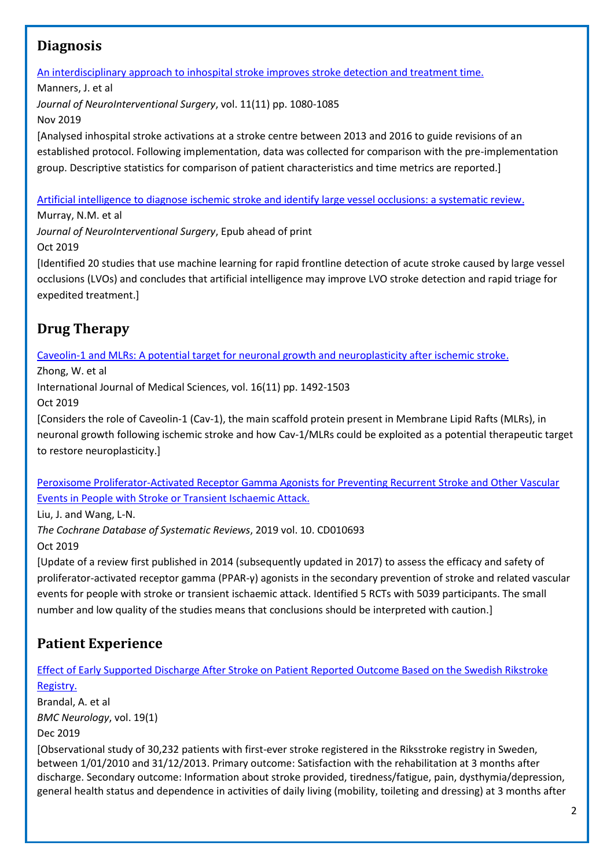### <span id="page-1-0"></span>**Diagnosis**

[An interdisciplinary approach to inhospital stroke improves stroke detection and treatment time.](https://jnis.bmj.com/content/11/11/1080?hwoasp=authn%3A1572521055%3A4058671%3A1354847154%3A0%3A0%3A2devuUlw7XwomC40Yy506Q%3D%3D)

Manners, J. et al *Journal of NeuroInterventional Surgery*, vol. 11(11) pp. 1080-1085 Nov 2019

[Analysed inhospital stroke activations at a stroke centre between 2013 and 2016 to guide revisions of an established protocol. Following implementation, data was collected for comparison with the pre-implementation group. Descriptive statistics for comparison of patient characteristics and time metrics are reported.]

[Artificial intelligence to diagnose ischemic stroke and identify large vessel occlusions: a systematic review.](https://jnis.bmj.com/content/early/2019/10/08/neurintsurg-2019-015135?hwoasp=authn%3A1572458254%3A4058671%3A1354847154%3A0%3A0%3AINCf%2FbakWAgqq%2BabE13Bkw%3D%3D)

Murray, N.M. et al

*Journal of NeuroInterventional Surgery*, Epub ahead of print

Oct 2019

[Identified 20 studies that use machine learning for rapid frontline detection of acute stroke caused by large vessel occlusions (LVOs) and concludes that artificial intelligence may improve LVO stroke detection and rapid triage for expedited treatment.]

# <span id="page-1-1"></span>**Drug Therapy**

[Caveolin-1 and MLRs: A potential target for neuronal growth and neuroplasticity after ischemic stroke.](http://www.medsci.org/v16p1492)

Zhong, W. et al

International Journal of Medical Sciences, vol. 16(11) pp. 1492-1503

Oct 2019

[Considers the role of Caveolin-1 (Cav-1), the main scaffold protein present in Membrane Lipid Rafts (MLRs), in neuronal growth following ischemic stroke and how Cav-1/MLRs could be exploited as a potential therapeutic target to restore neuroplasticity.]

[Peroxisome Proliferator-Activated Receptor Gamma Agonists for Preventing Recurrent Stroke and Other Vascular](https://www.cochranelibrary.com/cdsr/doi/10.1002/14651858.CD010693.pub5/full)  [Events in People with Stroke or Transient Ischaemic Attack.](https://www.cochranelibrary.com/cdsr/doi/10.1002/14651858.CD010693.pub5/full)

Liu, J. and Wang, L-N.

*The Cochrane Database of Systematic Reviews*, 2019 vol. 10. CD010693

Oct 2019

[Update of a review first published in 2014 (subsequently updated in 2017) to assess the efficacy and safety of proliferator-activated receptor gamma (PPAR-γ) agonists in the secondary prevention of stroke and related vascular events for people with stroke or transient ischaemic attack. Identified 5 RCTs with 5039 participants. The small number and low quality of the studies means that conclusions should be interpreted with caution.]

# <span id="page-1-2"></span>**Patient Experience**

[Effect of Early Supported Discharge After Stroke on Patient Reported Outcome Based on the Swedish Rikstroke](https://bmcneurol.biomedcentral.com/articles/10.1186/s12883-019-1268-8)  [Registry.](https://bmcneurol.biomedcentral.com/articles/10.1186/s12883-019-1268-8)

Brandal, A. et al *BMC Neurology*, vol. 19(1)

Dec 2019

[Observational study of 30,232 patients with first-ever stroke registered in the Riksstroke registry in Sweden, between 1/01/2010 and 31/12/2013. Primary outcome: Satisfaction with the rehabilitation at 3 months after discharge. Secondary outcome: Information about stroke provided, tiredness/fatigue, pain, dysthymia/depression, general health status and dependence in activities of daily living (mobility, toileting and dressing) at 3 months after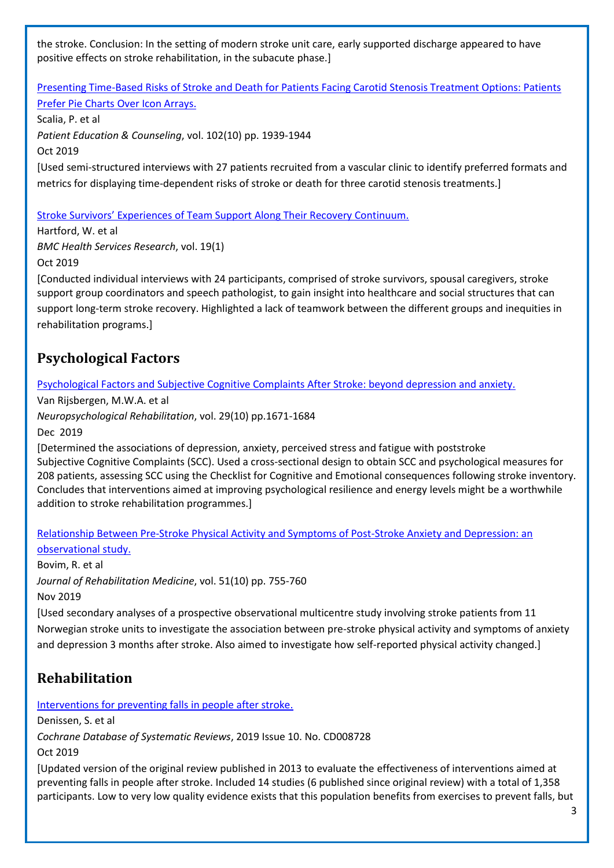the stroke. Conclusion: In the setting of modern stroke unit care, early supported discharge appeared to have positive effects on stroke rehabilitation, in the subacute phase.]

[Presenting Time-Based Risks of Stroke and Death for Patients Facing Carotid Stenosis Treatment Options: Patients](https://www.sciencedirect.com/science/article/pii/S0738399119301715?via%3Dihub)  Prefer Pie Charts [Over Icon Arrays.](https://www.sciencedirect.com/science/article/pii/S0738399119301715?via%3Dihub)

Scalia, P. et al *Patient Education & Counseling*, vol. 102(10) pp. 1939-1944 Oct 2019 [Used semi-structured interviews with 27 patients recruited from a vascular clinic to identify preferred formats and metrics for displaying time-dependent risks of stroke or death for three carotid stenosis treatments.]

[Stroke Survivors' Experiences of Team Support Along Their Recovery Continuum.](https://bmchealthservres.biomedcentral.com/articles/10.1186/s12913-019-4533-z)

Hartford, W. et al *BMC Health Services Research*, vol. 19(1)

Oct 2019

[Conducted individual interviews with 24 participants, comprised of stroke survivors, spousal caregivers, stroke support group coordinators and speech pathologist, to gain insight into healthcare and social structures that can support long-term stroke recovery. Highlighted a lack of teamwork between the different groups and inequities in rehabilitation programs.]

### <span id="page-2-0"></span>**Psychological Factors**

[Psychological Factors and Subjective Cognitive Complaints After Stroke: beyond depression and anxiety.](https://www.tandfonline.com/doi/pdf/10.1080/09602011.2018.1441720?needAccess=true)

Van Rijsbergen, M.W.A. et al

*Neuropsychological Rehabilitation*, vol. 29(10) pp.1671-1684

Dec 2019

[Determined the associations of depression, anxiety, perceived stress and fatigue with poststroke Subjective Cognitive Complaints (SCC). Used a cross-sectional design to obtain SCC and psychological measures for 208 patients, assessing SCC using the Checklist for Cognitive and Emotional consequences following stroke inventory. Concludes that interventions aimed at improving psychological resilience and energy levels might be a worthwhile addition to stroke rehabilitation programmes.]

#### [Relationship Between Pre-Stroke Physical Activity and Symptoms of Post-Stroke Anxiety and Depression: an](https://www.medicaljournals.se/jrm/content/abstract/10.2340/16501977-2610)  [observational study.](https://www.medicaljournals.se/jrm/content/abstract/10.2340/16501977-2610)

Bovim, R. et al *Journal of Rehabilitation Medicine*, vol. 51(10) pp. 755-760 Nov 2019

[Used secondary analyses of a prospective observational multicentre study involving stroke patients from 11 Norwegian stroke units to investigate the association between pre-stroke physical activity and symptoms of anxiety and depression 3 months after stroke. Also aimed to investigate how self-reported physical activity changed.]

# <span id="page-2-1"></span>**Rehabilitation**

[Interventions for preventing falls in people after stroke.](https://www.cochranelibrary.com/cdsr/doi/10.1002/14651858.CD008728.pub3/full?highlightAbstract=withdrawn%7Cstroke%7Cstrok)

Denissen, S. et al

*Cochrane Database of Systematic Reviews*, 2019 Issue 10. No. CD008728

Oct 2019

[Updated version of the original review published in 2013 to evaluate the effectiveness of interventions aimed at preventing falls in people after stroke. Included 14 studies (6 published since original review) with a total of 1,358 participants. Low to very low quality evidence exists that this population benefits from exercises to prevent falls, but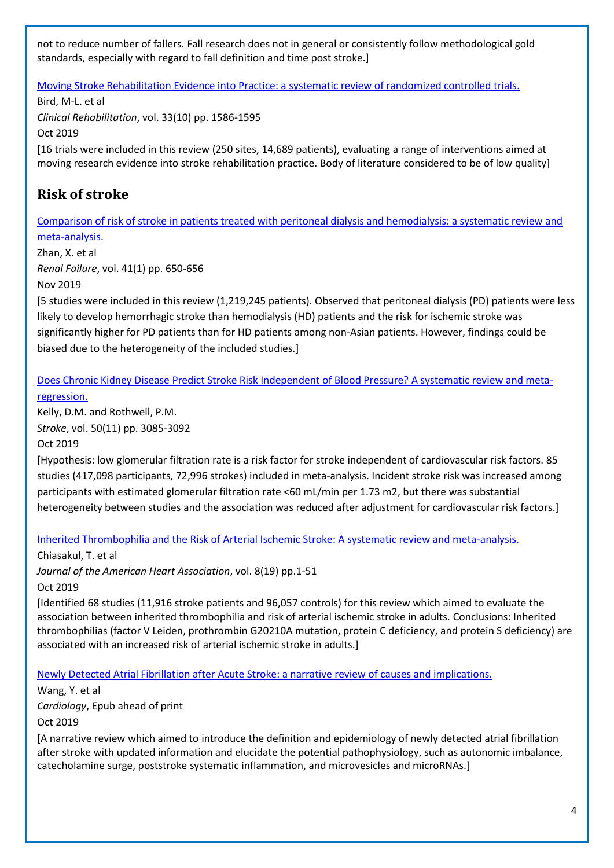not to reduce number of fallers. Fall research does not in general or consistently follow methodological gold standards, especially with regard to fall definition and time post stroke.]

[Moving Stroke Rehabilitation Evidence into Practice: a systematic review of randomized controlled trials.](http://clok.uclan.ac.uk/28160/1/28160%20Connell%20L%202019%20Moving%20Stroke%20Clin%20Rehabil.PDF)

Bird, M-L. et al *Clinical Rehabilitation*, vol. 33(10) pp. 1586-1595 Oct 2019 [16 trials were included in this review (250 sites, 14,689 patients), evaluating a range of interventions aimed at moving research evidence into stroke rehabilitation practice. Body of literature considered to be of low quality]

# <span id="page-3-0"></span>**Risk of stroke**

[Comparison of risk of stroke in patients treated with peritoneal dialysis and hemodialysis: a systematic review and](https://www.ncbi.nlm.nih.gov/pubmed/31296101)  [meta-analysis.](https://www.ncbi.nlm.nih.gov/pubmed/31296101)

Zhan, X. et al *Renal Failure*, vol. 41(1) pp. 650-656 Nov 2019

[5 studies were included in this review (1,219,245 patients). Observed that peritoneal dialysis (PD) patients were less likely to develop hemorrhagic stroke than hemodialysis (HD) patients and the risk for ischemic stroke was significantly higher for PD patients than for HD patients among non-Asian patients. However, findings could be biased due to the heterogeneity of the included studies.]

[Does Chronic Kidney Disease Predict Stroke Risk Independent of Blood Pressure? A systematic review and meta](https://www.ahajournals.org/doi/full/10.1161/STROKEAHA.119.025442?url_ver=Z39.88-2003&rfr_id=ori:rid:crossref.org&rfr_dat=cr_pub%3dpubmed)[regression.](https://www.ahajournals.org/doi/full/10.1161/STROKEAHA.119.025442?url_ver=Z39.88-2003&rfr_id=ori:rid:crossref.org&rfr_dat=cr_pub%3dpubmed)

Kelly, D.M. and Rothwell, P.M. *Stroke*, vol. 50(11) pp. 3085-3092

Oct 2019

[Hypothesis: low glomerular filtration rate is a risk factor for stroke independent of cardiovascular risk factors. 85 studies (417,098 participants, 72,996 strokes) included in meta-analysis. Incident stroke risk was increased among participants with estimated glomerular filtration rate <60 mL/min per 1.73 m2, but there was substantial heterogeneity between studies and the association was reduced after adjustment for cardiovascular risk factors.]

[Inherited Thrombophilia and the Risk of Arterial Ischemic Stroke: A systematic review and meta-analysis.](https://www.ahajournals.org/doi/10.1161/JAHA.119.012877)

Chiasakul, T. et al

*Journal of the American Heart Association*, vol. 8(19) pp.1-51

Oct 2019

[Identified 68 studies (11,916 stroke patients and 96,057 controls) for this review which aimed to evaluate the association between inherited thrombophilia and risk of arterial ischemic stroke in adults. Conclusions: Inherited thrombophilias (factor V Leiden, prothrombin G20210A mutation, protein C deficiency, and protein S deficiency) are associated with an increased risk of arterial ischemic stroke in adults.]

[Newly Detected Atrial Fibrillation after Acute Stroke: a narrative review of causes and implications.](https://www.karger.com/Article/Pdf/502971)

Wang, Y. et al *Cardiology*, Epub ahead of print Oct 2019

[A narrative review which aimed to introduce the definition and epidemiology of newly detected atrial fibrillation after stroke with updated information and elucidate the potential pathophysiology, such as autonomic imbalance, catecholamine surge, poststroke systematic inflammation, and microvesicles and microRNAs.]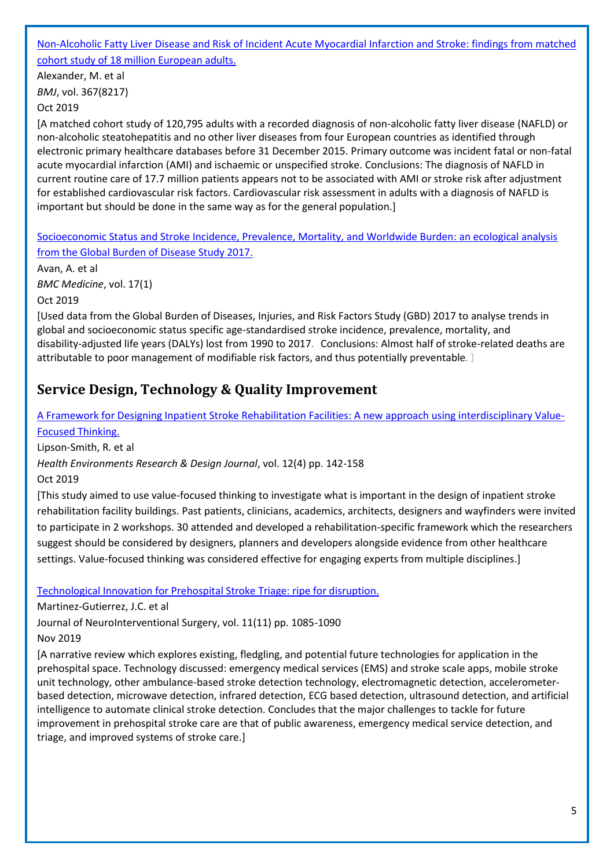#### [Non-Alcoholic Fatty Liver Disease and Risk of Incident Acute Myocardial Infarction and Stroke: findings from matched](https://www.bmj.com/content/367/bmj.l5367?hwoasp=authn%3A1572529192%3A4058671%3A1354847154%3A0%3A0%3A2zgeVrGI%2F4GkBJIg0Sw7Iw%3D%3D)  [cohort study of 18 million European adults.](https://www.bmj.com/content/367/bmj.l5367?hwoasp=authn%3A1572529192%3A4058671%3A1354847154%3A0%3A0%3A2zgeVrGI%2F4GkBJIg0Sw7Iw%3D%3D)

Alexander, M. et al *BMJ*, vol. 367(8217) Oct 2019

[A matched cohort study of 120,795 adults with a recorded diagnosis of non-alcoholic fatty liver disease (NAFLD) or non-alcoholic steatohepatitis and no other liver diseases from four European countries as identified through electronic primary healthcare databases before 31 December 2015. Primary outcome was incident fatal or non-fatal acute myocardial infarction (AMI) and ischaemic or unspecified stroke. Conclusions: The diagnosis of NAFLD in current routine care of 17.7 million patients appears not to be associated with AMI or stroke risk after adjustment for established cardiovascular risk factors. Cardiovascular risk assessment in adults with a diagnosis of NAFLD is important but should be done in the same way as for the general population.]

[Socioeconomic Status and Stroke Incidence, Prevalence, Mortality, and Worldwide Burden: an ecological analysis](https://bmcmedicine.biomedcentral.com/articles/10.1186/s12916-019-1397-3)  [from the Global Burden of Disease Study 2017.](https://bmcmedicine.biomedcentral.com/articles/10.1186/s12916-019-1397-3)

Avan, A. et al *BMC Medicine*, vol. 17(1)

Oct 2019

[Used data from the Global Burden of Diseases, Injuries, and Risk Factors Study (GBD) 2017 to analyse trends in global and socioeconomic status specific age-standardised stroke incidence, prevalence, mortality, and disability-adjusted life years (DALYs) lost from 1990 to 2017. Conclusions: Almost half of stroke-related deaths are attributable to poor management of modifiable risk factors, and thus potentially preventable. ]

## <span id="page-4-0"></span>**Service Design, Technology & Quality Improvement**

[A Framework for Designing Inpatient Stroke Rehabilitation Facilities: A new approach using interdisciplinary Value-](https://journals.sagepub.com/doi/pdf/10.1177/1937586719831450)[Focused Thinking.](https://journals.sagepub.com/doi/pdf/10.1177/1937586719831450)

Lipson-Smith, R. et al

*Health Environments Research & Design Journal*, vol. 12(4) pp. 142-158

Oct 2019

[This study aimed to use value-focused thinking to investigate what is important in the design of inpatient stroke rehabilitation facility buildings. Past patients, clinicians, academics, architects, designers and wayfinders were invited to participate in 2 workshops. 30 attended and developed a rehabilitation-specific framework which the researchers suggest should be considered by designers, planners and developers alongside evidence from other healthcare settings. Value-focused thinking was considered effective for engaging experts from multiple disciplines.]

[Technological Innovation for Prehospital Stroke Triage: ripe for disruption.](https://jnis.bmj.com/content/neurintsurg/early/2019/06/14/neurintsurg-2019-014902.full.pdf)

Martinez-Gutierrez, J.C. et al

Journal of NeuroInterventional Surgery, vol. 11(11) pp. 1085-1090

Nov 2019

[A narrative review which explores existing, fledgling, and potential future technologies for application in the prehospital space. Technology discussed: emergency medical services (EMS) and stroke scale apps, mobile stroke unit technology, other ambulance-based stroke detection technology, electromagnetic detection, accelerometerbased detection, microwave detection, infrared detection, ECG based detection, ultrasound detection, and artificial intelligence to automate clinical stroke detection. Concludes that the major challenges to tackle for future improvement in prehospital stroke care are that of public awareness, emergency medical service detection, and triage, and improved systems of stroke care.]